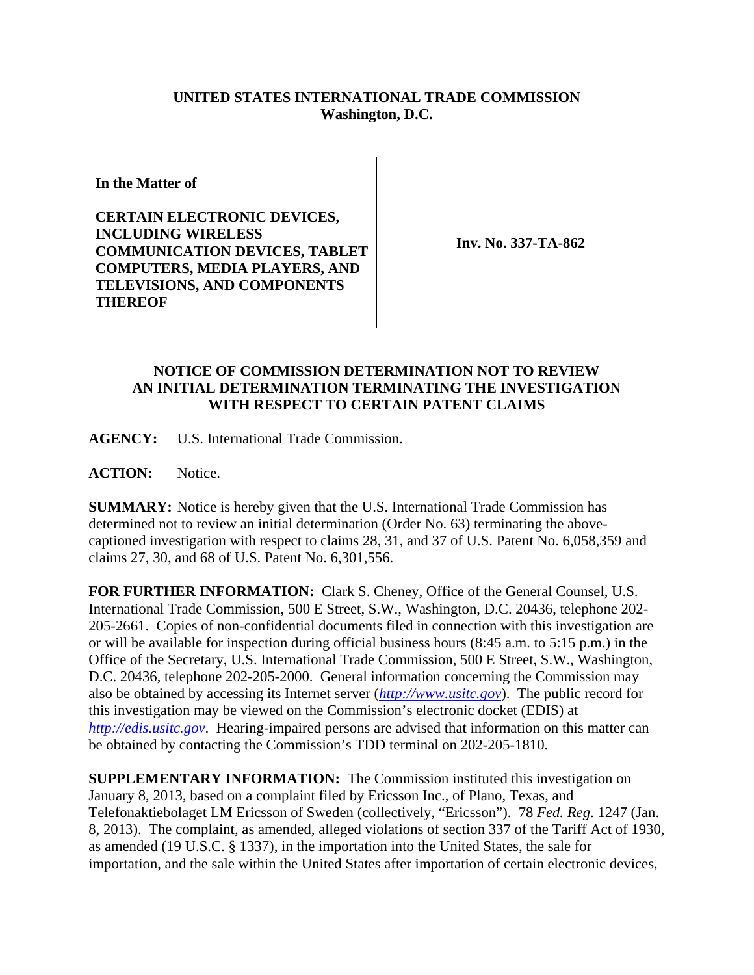## **UNITED STATES INTERNATIONAL TRADE COMMISSION Washington, D.C.**

**In the Matter of** 

**CERTAIN ELECTRONIC DEVICES, INCLUDING WIRELESS COMMUNICATION DEVICES, TABLET COMPUTERS, MEDIA PLAYERS, AND TELEVISIONS, AND COMPONENTS THEREOF** 

**Inv. No. 337-TA-862**

## **NOTICE OF COMMISSION DETERMINATION NOT TO REVIEW AN INITIAL DETERMINATION TERMINATING THE INVESTIGATION WITH RESPECT TO CERTAIN PATENT CLAIMS**

**AGENCY:** U.S. International Trade Commission.

ACTION: Notice.

**SUMMARY:** Notice is hereby given that the U.S. International Trade Commission has determined not to review an initial determination (Order No. 63) terminating the abovecaptioned investigation with respect to claims 28, 31, and 37 of U.S. Patent No. 6,058,359 and claims 27, 30, and 68 of U.S. Patent No. 6,301,556.

**FOR FURTHER INFORMATION:** Clark S. Cheney, Office of the General Counsel, U.S. International Trade Commission, 500 E Street, S.W., Washington, D.C. 20436, telephone 202- 205-2661. Copies of non-confidential documents filed in connection with this investigation are or will be available for inspection during official business hours (8:45 a.m. to 5:15 p.m.) in the Office of the Secretary, U.S. International Trade Commission, 500 E Street, S.W., Washington, D.C. 20436, telephone 202-205-2000. General information concerning the Commission may also be obtained by accessing its Internet server (*http://www.usitc.gov*). The public record for this investigation may be viewed on the Commission's electronic docket (EDIS) at *http://edis.usitc.gov*. Hearing-impaired persons are advised that information on this matter can be obtained by contacting the Commission's TDD terminal on 202-205-1810.

**SUPPLEMENTARY INFORMATION:** The Commission instituted this investigation on January 8, 2013, based on a complaint filed by Ericsson Inc., of Plano, Texas, and Telefonaktiebolaget LM Ericsson of Sweden (collectively, "Ericsson"). 78 *Fed. Reg*. 1247 (Jan. 8, 2013). The complaint, as amended, alleged violations of section 337 of the Tariff Act of 1930, as amended (19 U.S.C. § 1337), in the importation into the United States, the sale for importation, and the sale within the United States after importation of certain electronic devices,